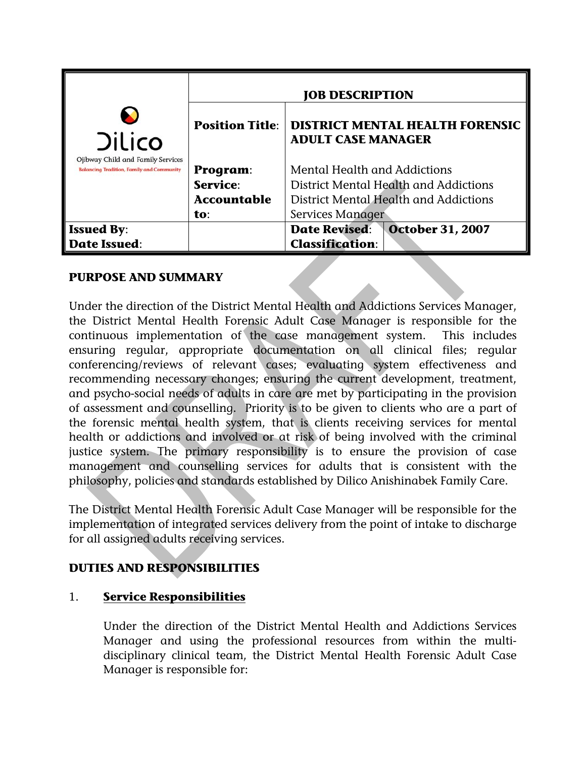| <b>Dilico</b><br>Ojibway Child and Family Services<br><b>Balancing Tradition, Family and Community</b> |                        | <b>JOB DESCRIPTION</b>                                              |
|--------------------------------------------------------------------------------------------------------|------------------------|---------------------------------------------------------------------|
|                                                                                                        | <b>Position Title:</b> | <b>DISTRICT MENTAL HEALTH FORENSIC</b><br><b>ADULT CASE MANAGER</b> |
|                                                                                                        | Program:               | Mental Health and Addictions                                        |
|                                                                                                        | Service:               | District Mental Health and Addictions                               |
|                                                                                                        | <b>Accountable</b>     | District Mental Health and Addictions                               |
|                                                                                                        | to:                    | Services Manager                                                    |
| <b>Issued By:</b>                                                                                      |                        | <b>October 31, 2007</b><br><b>Date Revised:</b>                     |
| <b>Date Issued:</b>                                                                                    |                        | <b>Classification:</b>                                              |

## **PURPOSE AND SUMMARY**

Under the direction of the District Mental Health and Addictions Services Manager, the District Mental Health Forensic Adult Case Manager is responsible for the continuous implementation of the case management system. This includes ensuring regular, appropriate documentation on all clinical files; regular conferencing/reviews of relevant cases; evaluating system effectiveness and recommending necessary changes; ensuring the current development, treatment, and psycho-social needs of adults in care are met by participating in the provision of assessment and counselling. Priority is to be given to clients who are a part of the forensic mental health system, that is clients receiving services for mental health or addictions and involved or at risk of being involved with the criminal justice system. The primary responsibility is to ensure the provision of case management and counselling services for adults that is consistent with the philosophy, policies and standards established by Dilico Anishinabek Family Care.

The District Mental Health Forensic Adult Case Manager will be responsible for the implementation of integrated services delivery from the point of intake to discharge for all assigned adults receiving services.

# **DUTIES AND RESPONSIBILITIES**

## 1. **Service Responsibilities**

Under the direction of the District Mental Health and Addictions Services Manager and using the professional resources from within the multidisciplinary clinical team, the District Mental Health Forensic Adult Case Manager is responsible for: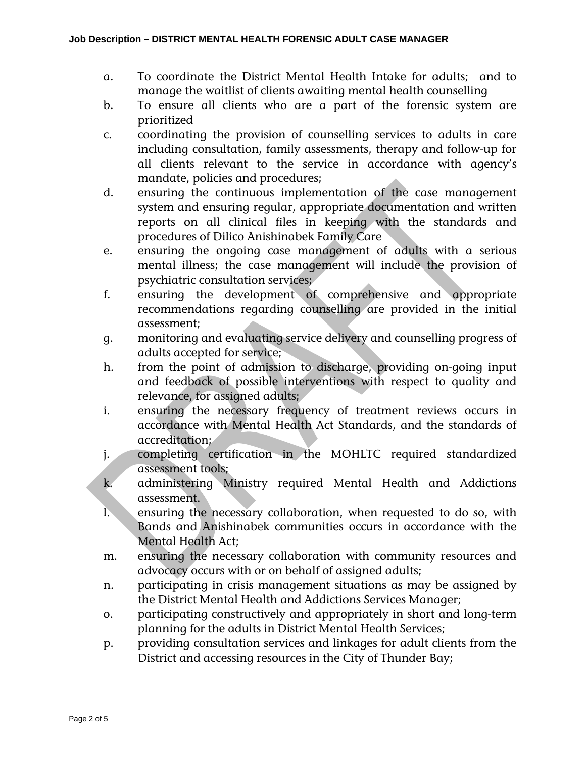- a. To coordinate the District Mental Health Intake for adults; and to manage the waitlist of clients awaiting mental health counselling
- b. To ensure all clients who are a part of the forensic system are prioritized
- c. coordinating the provision of counselling services to adults in care including consultation, family assessments, therapy and follow-up for all clients relevant to the service in accordance with agency's mandate, policies and procedures;
- d. ensuring the continuous implementation of the case management system and ensuring regular, appropriate documentation and written reports on all clinical files in keeping with the standards and procedures of Dilico Anishinabek Family Care
- e. ensuring the ongoing case management of adults with a serious mental illness; the case management will include the provision of psychiatric consultation services;
- f. ensuring the development of comprehensive and appropriate recommendations regarding counselling are provided in the initial assessment;
- g. monitoring and evaluating service delivery and counselling progress of adults accepted for service;
- h. from the point of admission to discharge, providing on-going input and feedback of possible interventions with respect to quality and relevance, for assigned adults;
- i. ensuring the necessary frequency of treatment reviews occurs in accordance with Mental Health Act Standards, and the standards of accreditation;
- j. completing certification in the MOHLTC required standardized assessment tools;
- k. administering Ministry required Mental Health and Addictions assessment.
- l. ensuring the necessary collaboration, when requested to do so, with Bands and Anishinabek communities occurs in accordance with the Mental Health Act;
- m. ensuring the necessary collaboration with community resources and advocacy occurs with or on behalf of assigned adults;
- n. participating in crisis management situations as may be assigned by the District Mental Health and Addictions Services Manager;
- o. participating constructively and appropriately in short and long-term planning for the adults in District Mental Health Services;
- p. providing consultation services and linkages for adult clients from the District and accessing resources in the City of Thunder Bay;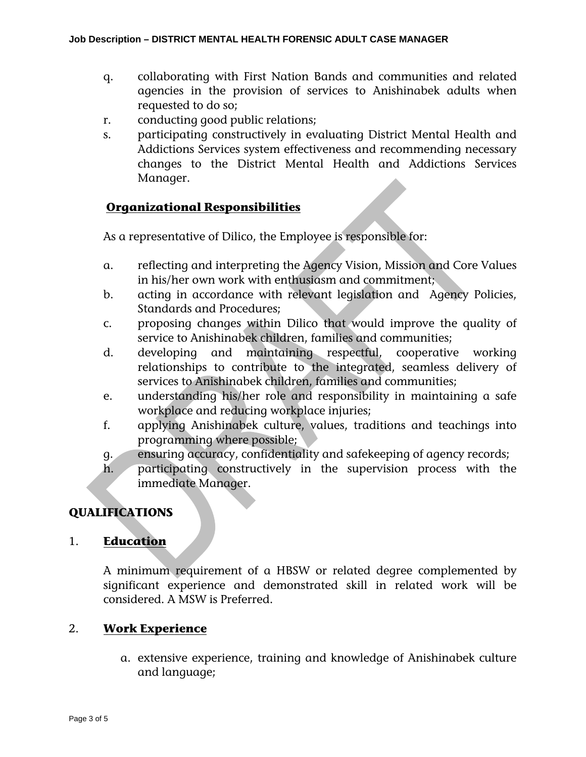- q. collaborating with First Nation Bands and communities and related agencies in the provision of services to Anishinabek adults when requested to do so;
- r. conducting good public relations;
- s. participating constructively in evaluating District Mental Health and Addictions Services system effectiveness and recommending necessary changes to the District Mental Health and Addictions Services Manager.

## **Organizational Responsibilities**

As a representative of Dilico, the Employee is responsible for:

- a. reflecting and interpreting the Agency Vision, Mission and Core Values in his/her own work with enthusiasm and commitment;
- b. acting in accordance with relevant legislation and Agency Policies, Standards and Procedures;
- c. proposing changes within Dilico that would improve the quality of service to Anishinabek children, families and communities;
- d. developing and maintaining respectful, cooperative working relationships to contribute to the integrated, seamless delivery of services to Anishinabek children, families and communities;
- e. understanding his/her role and responsibility in maintaining a safe workplace and reducing workplace injuries;
- f. applying Anishinabek culture, values, traditions and teachings into programming where possible;
- g. ensuring accuracy, confidentiality and safekeeping of agency records;
- h. participating constructively in the supervision process with the immediate Manager.

# **QUALIFICATIONS**

#### 1. **Education**

A minimum requirement of a HBSW or related degree complemented by significant experience and demonstrated skill in related work will be considered. A MSW is Preferred.

#### 2. **Work Experience**

a. extensive experience, training and knowledge of Anishinabek culture and language;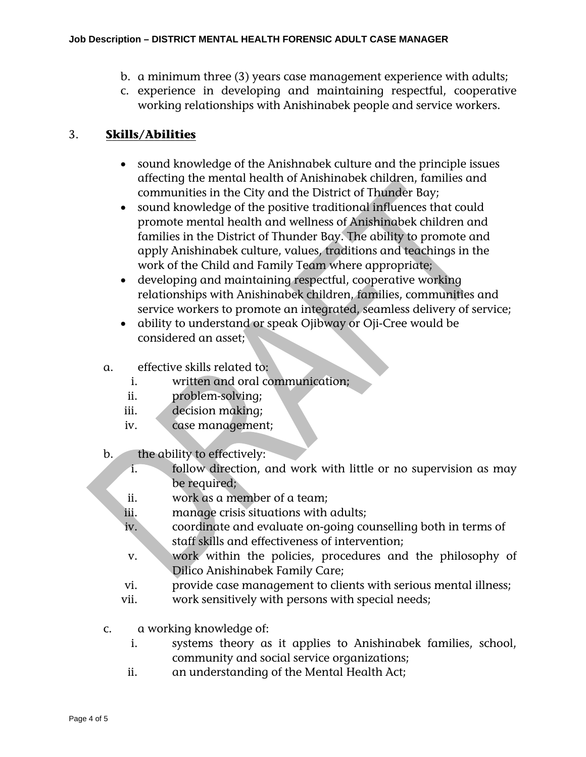- b. a minimum three (3) years case management experience with adults;
- c. experience in developing and maintaining respectful, cooperative working relationships with Anishinabek people and service workers.

## 3. **Skills/Abilities**

- sound knowledge of the Anishnabek culture and the principle issues affecting the mental health of Anishinabek children, families and communities in the City and the District of Thunder Bay;
- sound knowledge of the positive traditional influences that could promote mental health and wellness of Anishinabek children and families in the District of Thunder Bay. The ability to promote and apply Anishinabek culture, values, traditions and teachings in the work of the Child and Family Team where appropriate;
- developing and maintaining respectful, cooperative working relationships with Anishinabek children, families, communities and service workers to promote an integrated, seamless delivery of service;
- ability to understand or speak Ojibway or Oji-Cree would be considered an asset;
- a. effective skills related to:
	- i. written and oral communication;
	- ii. problem-solving;
	- iii. decision making;
	- iv. case management;
- b. the ability to effectively:
	- i. follow direction, and work with little or no supervision as may be required;
	- ii. work as a member of a team;
	- iii. manage crisis situations with adults;
	- iv. coordinate and evaluate on-going counselling both in terms of staff skills and effectiveness of intervention;
	- v. work within the policies, procedures and the philosophy of Dilico Anishinabek Family Care;
	- vi. provide case management to clients with serious mental illness;
	- vii. work sensitively with persons with special needs;
- c. a working knowledge of:
	- i. systems theory as it applies to Anishinabek families, school, community and social service organizations;
	- ii. an understanding of the Mental Health Act;